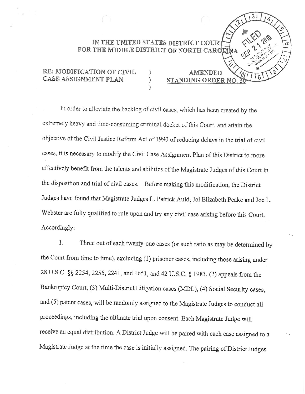## IN THE UNITED STATES DISTRICT COURT FOR THE MIDDLE DISTRICT OF NORTH CAROE

)

**AMENDED** 

STANDING ORDER NO.

 $\mathbf{6}$ 

# RE: MODIFICATION OF CIVIL CASE ASSIGNMENT PLAN

In order to alleviate the backlog of civil cases, which has been created by the extremely heavy and time-consuming criminal docket of this Court, and attain the objective of the Civil Justice Reform Act of 1990 of reducing delays in the trial of civil cases, it is necessary to modify the Civil Case Assignment Plan of this District to more effectively benefit from the talents and abilities of the Magistrate Judges of this Court in the disposition and trial of civil cases. Before making this modification, the District Judges have found that Magistrate Judges L. Patrick Auld, Joi Elizabeth Peake and Joe L. Webster are fully qualified to rule upon and try any civil case arising before this Court. Accordingly:

Three out of each twenty-one cases (or such ratio as may be determined by 1. the Court from time to time), excluding (1) prisoner cases, including those arising under 28 U.S.C. §§ 2254, 2255, 2241, and 1651, and 42 U.S.C. § 1983, (2) appeals from the Bankruptcy Court, (3) Multi-District Litigation cases (MDL), (4) Social Security cases, and (5) patent cases, will be randomly assigned to the Magistrate Judges to conduct all proceedings, including the ultimate trial upon consent. Each Magistrate Judge will receive an equal distribution. A District Judge will be paired with each case assigned to a Magistrate Judge at the time the case is initially assigned. The pairing of District Judges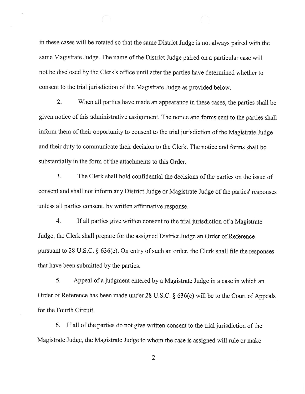in these cases will be rotated so that the same District Judge is not always paired with the same Magistrate Judge. The name of the District Judge paired on a particular case will not be disclosed by the Clerk's office until after the parties have determined whether to consent to the trial jurisdiction of the Magistrate Judge as provided below.

 $2.$ When all parties have made an appearance in these cases, the parties shall be given notice of this administrative assignment. The notice and forms sent to the parties shall inform them of their opportunity to consent to the trial jurisdiction of the Magistrate Judge and their duty to communicate their decision to the Clerk. The notice and forms shall be substantially in the form of the attachments to this Order.

 $3.$ The Clerk shall hold confidential the decisions of the parties on the issue of consent and shall not inform any District Judge or Magistrate Judge of the parties' responses unless all parties consent, by written affirmative response.

 $4.$ If all parties give written consent to the trial jurisdiction of a Magistrate Judge, the Clerk shall prepare for the assigned District Judge an Order of Reference pursuant to 28 U.S.C. § 636(c). On entry of such an order, the Clerk shall file the responses that have been submitted by the parties.

5. Appeal of a judgment entered by a Magistrate Judge in a case in which an Order of Reference has been made under 28 U.S.C.  $\S$  636(c) will be to the Court of Appeals for the Fourth Circuit.

If all of the parties do not give written consent to the trial jurisdiction of the 6. Magistrate Judge, the Magistrate Judge to whom the case is assigned will rule or make

 $\overline{2}$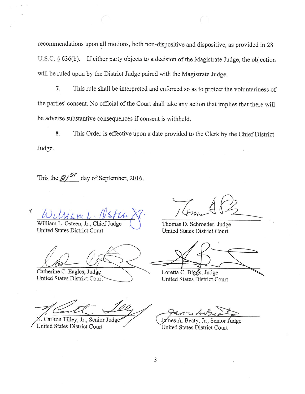recommendations upon all motions, both non-dispositive and dispositive, as provided in 28 U.S.C. § 636(b). If either party objects to a decision of the Magistrate Judge, the objection will be ruled upon by the District Judge paired with the Magistrate Judge.

7. This rule shall be interpreted and enforced so as to protect the voluntariness of the parties' consent. No official of the Court shall take any action that implies that there will be adverse substantive consequences if consent is withheld.

8. This Order is effective upon a date provided to the Clerk by the Chief District Judge.

This the  $21^{57}$  day of September, 2016.

 $\mathcal{G}$ 

William L. Osteen, Jr., Chief Judge United States District Court

Catherine C. Eagles, Judge **United States District Court** 

Carlton Tilley, Jr., Senior Judge United States District Court

Thomas D. Schroeder, Judge **United States District Court** 

Loretta C. Biggs, Judge United States District Court

James A. Beaty, Jr., Senior Judge United States District Court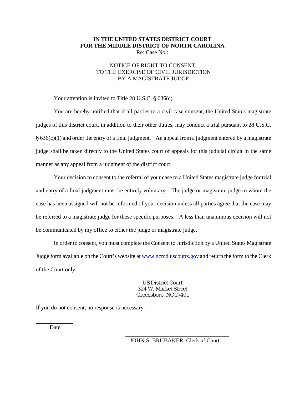#### **IN THE UNITED STATES DISTRICT COURT FOR THE MIDDLE DISTRICT OF NORTH CAROLINA** Re: Case No.:

### NOTICE OF RIGHT TO CONSENT TO THE EXERCISE OF CIVIL JURISDICTION BY A MAGISTRATE JUDGE

Your attention is invited to Title 28 U.S.C.  $\S$  636(c).

You are hereby notified that if all parties to a civil case consent, the United States magistrate judges of this district court, in addition to their other duties, may conduct a trial pursuant to 28 U.S.C.  $\S$  636(c)(1) and order the entry of a final judgment. An appeal from a judgment entered by a magistrate judge shall be taken directly to the United States court of appeals for this judicial circuit in the same manner as any appeal from a judgment of the district court.

Your decision to consent to the referral of your case to a United States magistrate judge for trial and entry of a final judgment must be entirely voluntary. The judge or magistrate judge to whom the case has been assigned will not be informed of your decision unless all parties agree that the case may be referred to a magistrate judge for these specific purposes. A less than unanimous decision will not be communicated by my office to either the judge or magistrate judge.

In order to consent, you must complete the Consent to Jurisdiction by a United States Magistrate Judge form available on the Court's website a[t www.ncmd.uscourts.gov](http://www.ncmd.uscourts.gov/sites/ncmd/files/forms/mjconsent.pdf) and return the form to the Clerk of the Court only:

> US District Court 324 W. Market Street Greensboro, NC 27401

If you do not consent, no response is necessary.

 $\overline{a}$ 

\_\_\_\_\_\_\_\_\_\_\_\_\_ Date

JOHN S. BRUBAKER, Clerk of Court